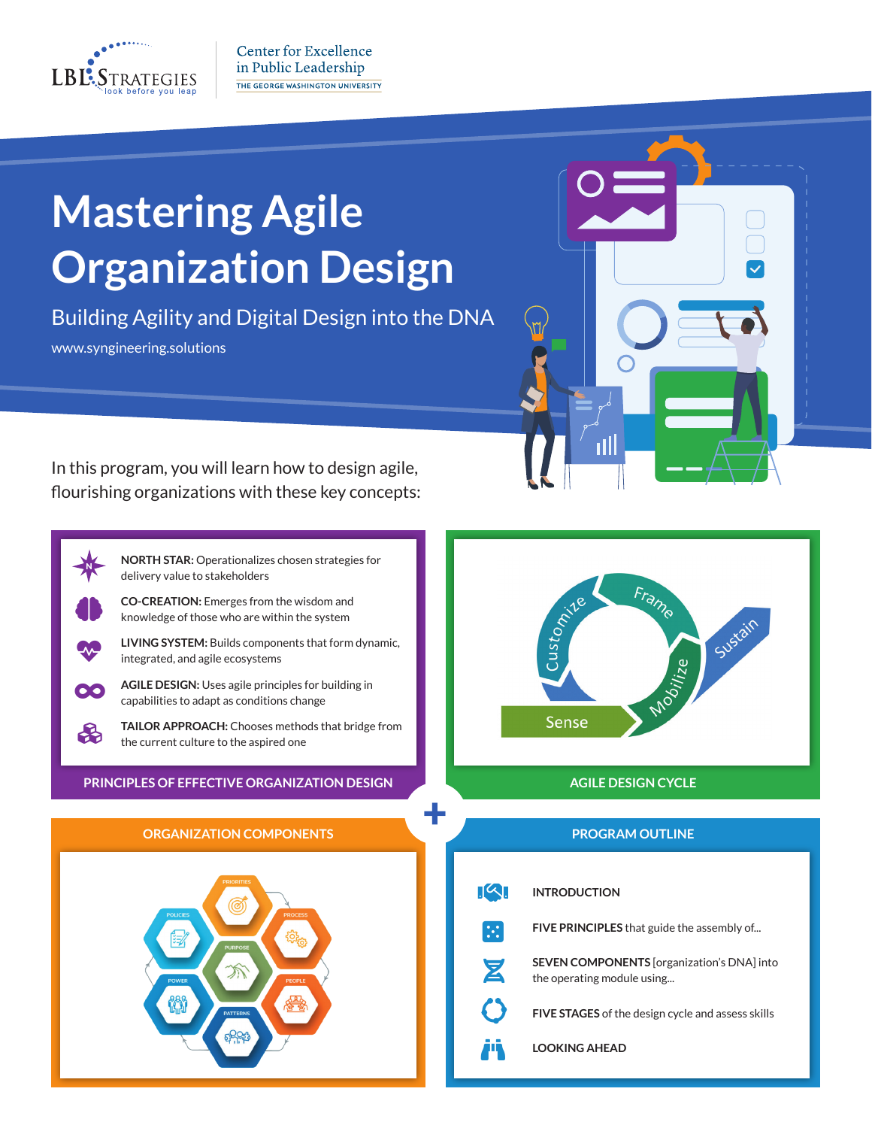

N

41

M

Œ

♧

**Center for Excellence** in Public Leadership THE GEORGE WASHINGTON UNIVERSITY

# **Mastering Agile Organization Design**

Building Agility and Digital Design into the DNA www.syngineering.solutions



In this program, you will learn how to design agile, flourishing organizations with these key concepts:

> **NORTH STAR:** Operationalizes chosen strategies for delivery value to stakeholders

**CO-CREATION:** Emerges from the wisdom and knowledge of those who are within the system



**AGILE DESIGN:** Uses agile principles for building in capabilities to adapt as conditions change

**TAILOR APPROACH:** Chooses methods that bridge from the current culture to the aspired one

+

**PRINCIPLES OF EFFECTIVE ORGANIZATION DESIGN AGILE DESIGN CYCLE** 

### **ORGANIZATION COMPONENTS PROGRAM OUTLINE**





|                    | <b>INTRODUCTION</b>                                                             |
|--------------------|---------------------------------------------------------------------------------|
|                    | <b>FIVE PRINCIPLES</b> that guide the assembly of                               |
| $\bar{\mathbf{z}}$ | <b>SEVEN COMPONENTS</b> [organization's DNA] into<br>the operating module using |
|                    | FIVE STAGES of the design cycle and assess skills                               |
|                    | <b>LOOKING AHEAD</b>                                                            |